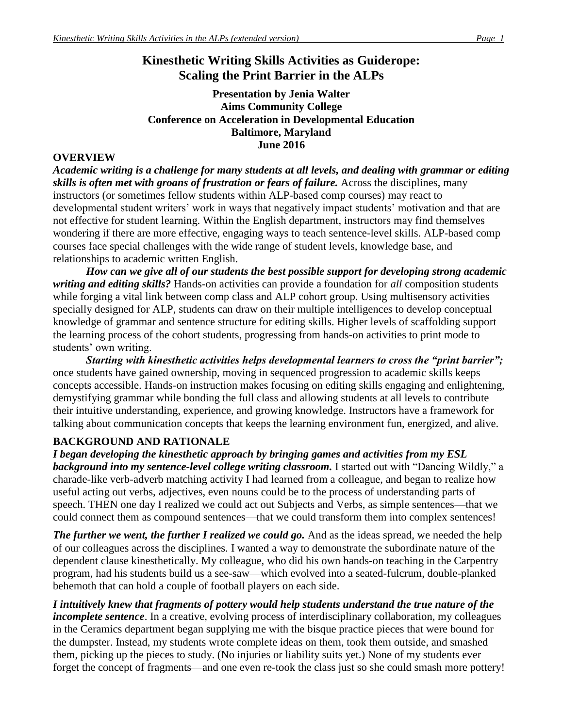# **Kinesthetic Writing Skills Activities as Guiderope: Scaling the Print Barrier in the ALPs**

#### **Presentation by Jenia Walter Aims Community College Conference on Acceleration in Developmental Education Baltimore, Maryland June 2016**

#### **OVERVIEW**

*Academic writing is a challenge for many students at all levels, and dealing with grammar or editing skills is often met with groans of frustration or fears of failure.* Across the disciplines, many instructors (or sometimes fellow students within ALP-based comp courses) may react to developmental student writers' work in ways that negatively impact students' motivation and that are not effective for student learning. Within the English department, instructors may find themselves wondering if there are more effective, engaging ways to teach sentence-level skills. ALP-based comp courses face special challenges with the wide range of student levels, knowledge base, and relationships to academic written English.

*How can we give all of our students the best possible support for developing strong academic writing and editing skills?* Hands-on activities can provide a foundation for *all* composition students while forging a vital link between comp class and ALP cohort group. Using multisensory activities specially designed for ALP, students can draw on their multiple intelligences to develop conceptual knowledge of grammar and sentence structure for editing skills. Higher levels of scaffolding support the learning process of the cohort students, progressing from hands-on activities to print mode to students' own writing.

*Starting with kinesthetic activities helps developmental learners to cross the "print barrier";* once students have gained ownership, moving in sequenced progression to academic skills keeps concepts accessible. Hands-on instruction makes focusing on editing skills engaging and enlightening, demystifying grammar while bonding the full class and allowing students at all levels to contribute their intuitive understanding, experience, and growing knowledge. Instructors have a framework for talking about communication concepts that keeps the learning environment fun, energized, and alive.

# **BACKGROUND AND RATIONALE**

*I began developing the kinesthetic approach by bringing games and activities from my ESL background into my sentence-level college writing classroom.* I started out with "Dancing Wildly," a charade-like verb-adverb matching activity I had learned from a colleague, and began to realize how useful acting out verbs, adjectives, even nouns could be to the process of understanding parts of speech. THEN one day I realized we could act out Subjects and Verbs, as simple sentences—that we could connect them as compound sentences—that we could transform them into complex sentences!

*The further we went, the further I realized we could go.* And as the ideas spread, we needed the help of our colleagues across the disciplines. I wanted a way to demonstrate the subordinate nature of the dependent clause kinesthetically. My colleague, who did his own hands-on teaching in the Carpentry program, had his students build us a see-saw—which evolved into a seated-fulcrum, double-planked behemoth that can hold a couple of football players on each side.

*I intuitively knew that fragments of pottery would help students understand the true nature of the incomplete sentence*. In a creative, evolving process of interdisciplinary collaboration, my colleagues in the Ceramics department began supplying me with the bisque practice pieces that were bound for the dumpster. Instead, my students wrote complete ideas on them, took them outside, and smashed them, picking up the pieces to study. (No injuries or liability suits yet.) None of my students ever forget the concept of fragments—and one even re-took the class just so she could smash more pottery!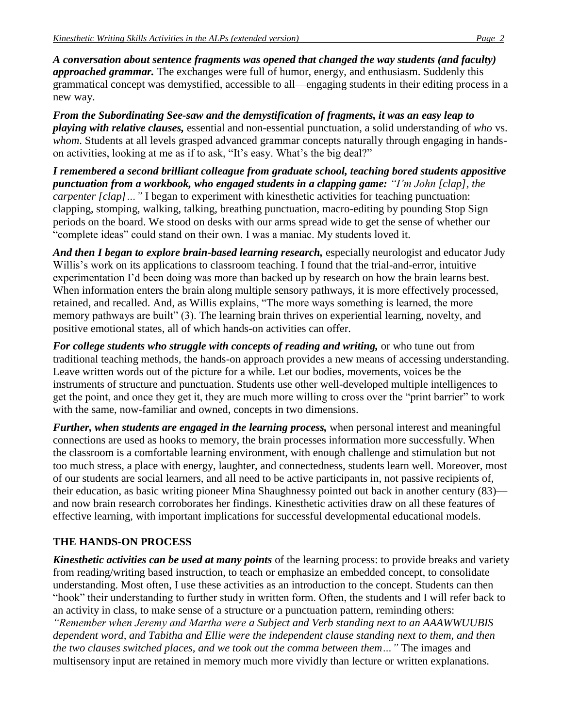*A conversation about sentence fragments was opened that changed the way students (and faculty) approached grammar.* The exchanges were full of humor, energy, and enthusiasm. Suddenly this grammatical concept was demystified, accessible to all—engaging students in their editing process in a new way.

*From the Subordinating See-saw and the demystification of fragments, it was an easy leap to playing with relative clauses,* essential and non-essential punctuation, a solid understanding of *who* vs. whom. Students at all levels grasped advanced grammar concepts naturally through engaging in handson activities, looking at me as if to ask, "It's easy. What's the big deal?"

*I remembered a second brilliant colleague from graduate school, teaching bored students appositive punctuation from a workbook, who engaged students in a clapping game: "I'm John [clap], the carpenter [clap]…"* I began to experiment with kinesthetic activities for teaching punctuation: clapping, stomping, walking, talking, breathing punctuation, macro-editing by pounding Stop Sign periods on the board. We stood on desks with our arms spread wide to get the sense of whether our "complete ideas" could stand on their own. I was a maniac. My students loved it.

*And then I began to explore brain-based learning research,* especially neurologist and educator Judy Willis's work on its applications to classroom teaching. I found that the trial-and-error, intuitive experimentation I'd been doing was more than backed up by research on how the brain learns best. When information enters the brain along multiple sensory pathways, it is more effectively processed, retained, and recalled. And, as Willis explains, "The more ways something is learned, the more memory pathways are built" (3). The learning brain thrives on experiential learning, novelty, and positive emotional states, all of which hands-on activities can offer.

*For college students who struggle with concepts of reading and writing,* or who tune out from traditional teaching methods, the hands-on approach provides a new means of accessing understanding. Leave written words out of the picture for a while. Let our bodies, movements, voices be the instruments of structure and punctuation. Students use other well-developed multiple intelligences to get the point, and once they get it, they are much more willing to cross over the "print barrier" to work with the same, now-familiar and owned, concepts in two dimensions.

*Further, when students are engaged in the learning process,* when personal interest and meaningful connections are used as hooks to memory, the brain processes information more successfully. When the classroom is a comfortable learning environment, with enough challenge and stimulation but not too much stress, a place with energy, laughter, and connectedness, students learn well. Moreover, most of our students are social learners, and all need to be active participants in, not passive recipients of, their education, as basic writing pioneer Mina Shaughnessy pointed out back in another century (83) and now brain research corroborates her findings. Kinesthetic activities draw on all these features of effective learning, with important implications for successful developmental educational models.

# **THE HANDS-ON PROCESS**

*Kinesthetic activities can be used at many points* of the learning process: to provide breaks and variety from reading/writing based instruction, to teach or emphasize an embedded concept, to consolidate understanding. Most often, I use these activities as an introduction to the concept. Students can then "hook" their understanding to further study in written form. Often, the students and I will refer back to an activity in class, to make sense of a structure or a punctuation pattern, reminding others:

*"Remember when Jeremy and Martha were a Subject and Verb standing next to an AAAWWUUBIS dependent word, and Tabitha and Ellie were the independent clause standing next to them, and then the two clauses switched places, and we took out the comma between them…"* The images and multisensory input are retained in memory much more vividly than lecture or written explanations.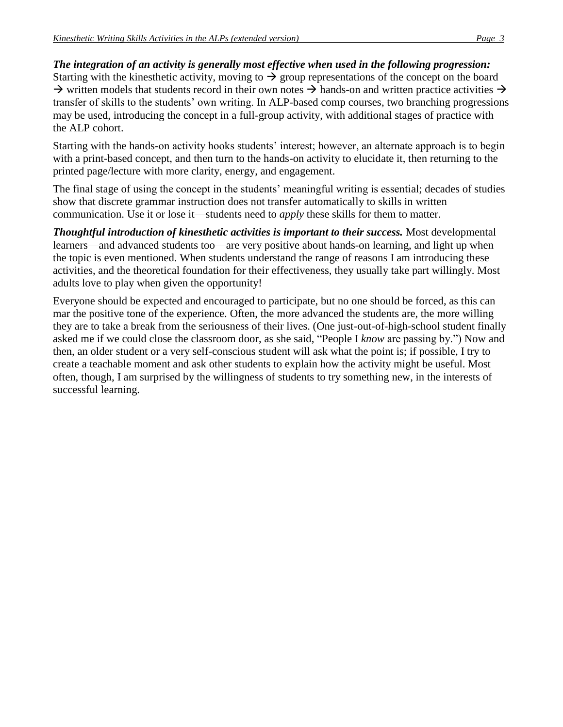#### *The integration of an activity is generally most effective when used in the following progression:*

Starting with the kinesthetic activity, moving to  $\rightarrow$  group representations of the concept on the board  $\rightarrow$  written models that students record in their own notes  $\rightarrow$  hands-on and written practice activities  $\rightarrow$ transfer of skills to the students' own writing. In ALP-based comp courses, two branching progressions may be used, introducing the concept in a full-group activity, with additional stages of practice with the ALP cohort.

Starting with the hands-on activity hooks students' interest; however, an alternate approach is to begin with a print-based concept, and then turn to the hands-on activity to elucidate it, then returning to the printed page/lecture with more clarity, energy, and engagement.

The final stage of using the concept in the students' meaningful writing is essential; decades of studies show that discrete grammar instruction does not transfer automatically to skills in written communication. Use it or lose it—students need to *apply* these skills for them to matter.

*Thoughtful introduction of kinesthetic activities is important to their success.* Most developmental learners—and advanced students too—are very positive about hands-on learning, and light up when the topic is even mentioned. When students understand the range of reasons I am introducing these activities, and the theoretical foundation for their effectiveness, they usually take part willingly. Most adults love to play when given the opportunity!

Everyone should be expected and encouraged to participate, but no one should be forced, as this can mar the positive tone of the experience. Often, the more advanced the students are, the more willing they are to take a break from the seriousness of their lives. (One just-out-of-high-school student finally asked me if we could close the classroom door, as she said, "People I *know* are passing by.") Now and then, an older student or a very self-conscious student will ask what the point is; if possible, I try to create a teachable moment and ask other students to explain how the activity might be useful. Most often, though, I am surprised by the willingness of students to try something new, in the interests of successful learning.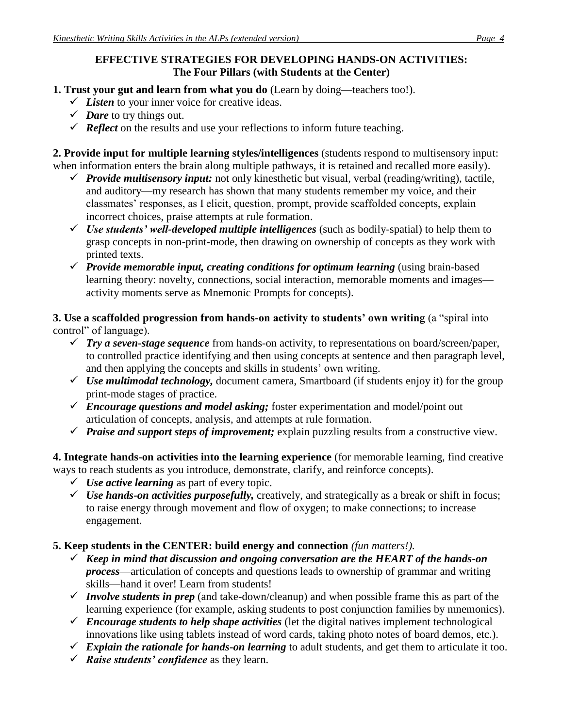## **EFFECTIVE STRATEGIES FOR DEVELOPING HANDS-ON ACTIVITIES: The Four Pillars (with Students at the Center)**

- **1. Trust your gut and learn from what you do** (Learn by doing—teachers too!).
	- *Listen* to your inner voice for creative ideas.
	- $\checkmark$  *Dare* to try things out.
	- $\checkmark$  **Reflect** on the results and use your reflections to inform future teaching.

**2. Provide input for multiple learning styles/intelligences** (students respond to multisensory input: when information enters the brain along multiple pathways, it is retained and recalled more easily).

- *Provide multisensory input:* not only kinesthetic but visual, verbal (reading/writing), tactile, and auditory—my research has shown that many students remember my voice, and their classmates' responses, as I elicit, question, prompt, provide scaffolded concepts, explain incorrect choices, praise attempts at rule formation.
- *Use students' well-developed multiple intelligences* (such as bodily-spatial) to help them to grasp concepts in non-print-mode, then drawing on ownership of concepts as they work with printed texts.
- *Provide memorable input, creating conditions for optimum learning* (using brain-based learning theory: novelty, connections, social interaction, memorable moments and images activity moments serve as Mnemonic Prompts for concepts).

**3. Use a scaffolded progression from hands-on activity to students' own writing** (a "spiral into control" of language).

- *Try a seven-stage sequence* from hands-on activity, to representations on board/screen/paper, to controlled practice identifying and then using concepts at sentence and then paragraph level, and then applying the concepts and skills in students' own writing.
- $\checkmark$  Use multimodal technology, document camera, Smartboard (if students enjoy it) for the group print-mode stages of practice.
- *Encourage questions and model asking;* foster experimentation and model/point out articulation of concepts, analysis, and attempts at rule formation.
- *Praise and support steps of improvement;* explain puzzling results from a constructive view.

**4. Integrate hands-on activities into the learning experience** (for memorable learning, find creative ways to reach students as you introduce, demonstrate, clarify, and reinforce concepts).

- $\checkmark$  *Use active learning* as part of every topic.
- *Use hands-on activities purposefully,* creatively, and strategically as a break or shift in focus; to raise energy through movement and flow of oxygen; to make connections; to increase engagement.

#### **5. Keep students in the CENTER: build energy and connection** *(fun matters!).*

- *Keep in mind that discussion and ongoing conversation are the HEART of the hands-on process*—articulation of concepts and questions leads to ownership of grammar and writing skills—hand it over! Learn from students!
- *Involve students in prep* (and take-down/cleanup) and when possible frame this as part of the learning experience (for example, asking students to post conjunction families by mnemonics).
- $\checkmark$  Encourage students to help shape activities (let the digital natives implement technological innovations like using tablets instead of word cards, taking photo notes of board demos, etc.).
- *Explain the rationale for hands-on learning* to adult students, and get them to articulate it too.
- *Raise students' confidence* as they learn.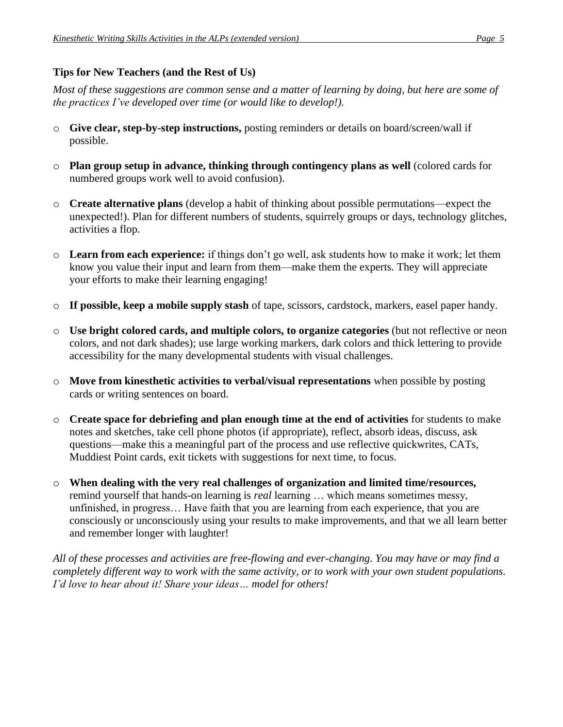# **Tips for New Teachers (and the Rest of Us)**

*Most of these suggestions are common sense and a matter of learning by doing, but here are some of the practices I've developed over time (or would like to develop!).*

- o **Give clear, step-by-step instructions,** posting reminders or details on board/screen/wall if possible.
- o **Plan group setup in advance, thinking through contingency plans as well** (colored cards for numbered groups work well to avoid confusion).
- o **Create alternative plans** (develop a habit of thinking about possible permutations—expect the unexpected!). Plan for different numbers of students, squirrely groups or days, technology glitches, activities a flop.
- o **Learn from each experience:** if things don't go well, ask students how to make it work; let them know you value their input and learn from them—make them the experts. They will appreciate your efforts to make their learning engaging!
- o **If possible, keep a mobile supply stash** of tape, scissors, cardstock, markers, easel paper handy.
- o **Use bright colored cards, and multiple colors, to organize categories** (but not reflective or neon colors, and not dark shades); use large working markers, dark colors and thick lettering to provide accessibility for the many developmental students with visual challenges.
- o **Move from kinesthetic activities to verbal/visual representations** when possible by posting cards or writing sentences on board.
- o **Create space for debriefing and plan enough time at the end of activities** for students to make notes and sketches, take cell phone photos (if appropriate), reflect, absorb ideas, discuss, ask questions—make this a meaningful part of the process and use reflective quickwrites, CATs, Muddiest Point cards, exit tickets with suggestions for next time, to focus.
- o **When dealing with the very real challenges of organization and limited time/resources,** remind yourself that hands-on learning is *real* learning … which means sometimes messy, unfinished, in progress… Have faith that you are learning from each experience, that you are consciously or unconsciously using your results to make improvements, and that we all learn better and remember longer with laughter!

*All of these processes and activities are free-flowing and ever-changing. You may have or may find a completely different way to work with the same activity, or to work with your own student populations. I'd love to hear about it! Share your ideas… model for others!*